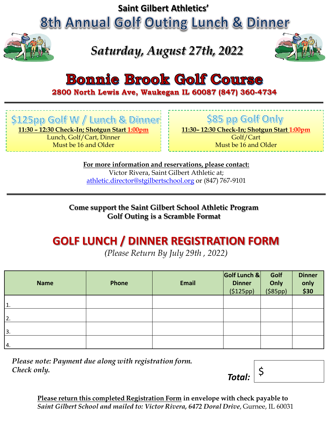**Saint Gilbert Athletics'**

**8th Annual Golf Outing Lunch & Dinner** 



## *Saturday, August 27th, 2022*



## **Bonnie Brook Golf Course**

**2800 North Lewis Ave, Waukegan IL 60087 (847) 360-4734**

\$125pp Golf W / Lunch & Dinner

**11:30 – 12:30 Check-In; Shotgun Start 1:00pm**

Lunch, Golf/Cart, Dinner Must be 16 and Older

\$85 pp Golf Only

**11:30– 12:30 Check-In; Shotgun Start 1:00pm**

Golf/Cart Must be 16 and Older

**For more information and reservations, please contact:** Victor Rivera, Saint Gilbert Athletic at; [athletic.director@stgilbertschool.org](mailto:athletic.director@stgilbertschool.org) or (847) 767-9101

**Come support the Saint Gilbert School Athletic Program Golf Outing is a Scramble Format** 

#### **GOLF LUNCH / DINNER REGISTRATION FORM**

*(Please Return By July 29th , 2022)*

| <b>Name</b>      | Phone | <b>Email</b> | Golf Lunch &<br><b>Dinner</b><br>(5125pp) | Golf<br>Only<br>$($ \$85pp $)$ | <b>Dinner</b><br>only<br>\$30 |
|------------------|-------|--------------|-------------------------------------------|--------------------------------|-------------------------------|
| $\overline{1}$ . |       |              |                                           |                                |                               |
| I2.              |       |              |                                           |                                |                               |
| 3.               |       |              |                                           |                                |                               |
| 4.               |       |              |                                           |                                |                               |

*Please note: Payment due along with registration form. Check only.* **5** *Total:*  $\begin{bmatrix} 5 \end{bmatrix}$ 



**Please return this completed Registration Form in envelope with check payable to**  *Saint Gilbert School and mailed to: Victor Rivera, 6472 Doral Drive*, Gurnee, IL 60031